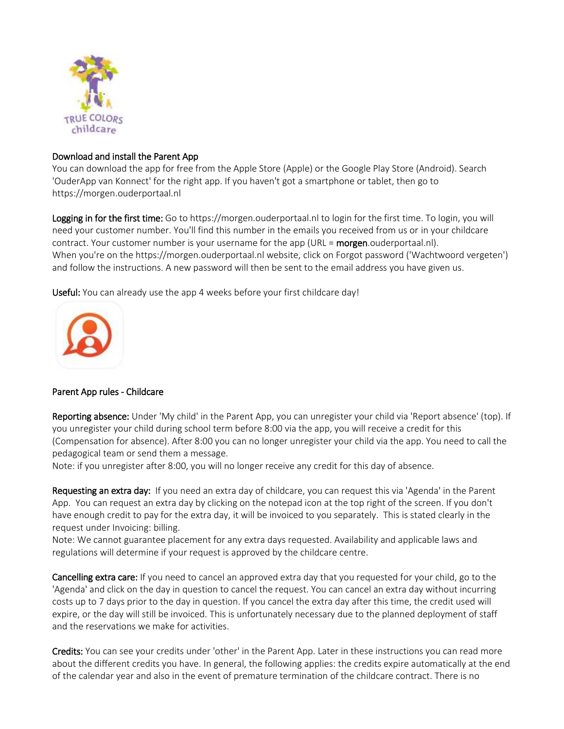

## Download and install the Parent App

You can download the app for free from the Apple Store (Apple) or the Google Play Store (Android). Search 'OuderApp van Konnect' for the right app. If you haven't got a smartphone or tablet, then go to https://morgen.ouderportaal.nl

Logging in for the first time: Go to https://morgen.ouderportaal.nl to login for the first time. To login, you will need your customer number. You'll find this number in the emails you received from us or in your childcare contract. Your customer number is your username for the app (URL = **morgen**.ouderportaal.nl). When you're on the https://morgen.ouderportaal.nl website, click on Forgot password ('Wachtwoord vergeten') and follow the instructions. A new password will then be sent to the email address you have given us.

Useful: You can already use the app 4 weeks before your first childcare day!



## Parent App rules - Childcare

Reporting absence: Under 'My child' in the Parent App, you can unregister your child via 'Report absence' (top). If you unregister your child during school term before 8:00 via the app, you will receive a credit for this (Compensation for absence). After 8:00 you can no longer unregister your child via the app. You need to call the pedagogical team or send them a message.

Note: if you unregister after 8:00, you will no longer receive any credit for this day of absence.

Requesting an extra day: If you need an extra day of childcare, you can request this via 'Agenda' in the Parent App. You can request an extra day by clicking on the notepad icon at the top right of the screen. If you don't have enough credit to pay for the extra day, it will be invoiced to you separately. This is stated clearly in the request under Invoicing: billing.

Note: We cannot guarantee placement for any extra days requested. Availability and applicable laws and regulations will determine if your request is approved by the childcare centre.

Cancelling extra care: If you need to cancel an approved extra day that you requested for your child, go to the 'Agenda' and click on the day in question to cancel the request. You can cancel an extra day without incurring costs up to 7 days prior to the day in question. If you cancel the extra day after this time, the credit used will expire, or the day will still be invoiced. This is unfortunately necessary due to the planned deployment of staff and the reservations we make for activities.

Credits: You can see your credits under 'other' in the Parent App. Later in these instructions you can read more about the different credits you have. In general, the following applies: the credits expire automatically at the end of the calendar year and also in the event of premature termination of the childcare contract. There is no